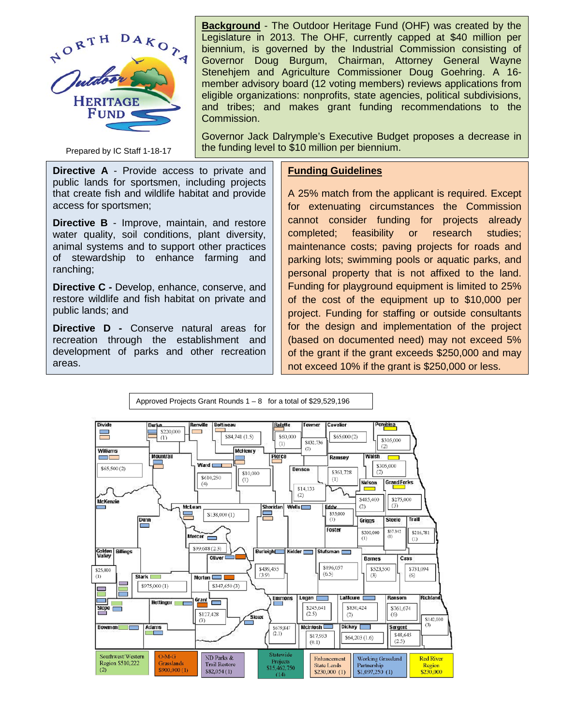

Prepared by IC Staff 1-18-17

**Background** - The Outdoor Heritage Fund (OHF) was created by the Legislature in 2013. The OHF, currently capped at \$40 million per biennium, is governed by the Industrial Commission consisting of Governor Doug Burgum, Chairman, Attorney General Wayne Stenehjem and Agriculture Commissioner Doug Goehring. A 16 member advisory board (12 voting members) reviews applications from eligible organizations: nonprofits, state agencies, political subdivisions, and tribes; and makes grant funding recommendations to the Commission.

Governor Jack Dalrymple's Executive Budget proposes a decrease in the funding level to \$10 million per biennium.

**Directive A** - Provide access to private and public lands for sportsmen, including projects that create fish and wildlife habitat and provide access for sportsmen;

**Directive B** - Improve, maintain, and restore water quality, soil conditions, plant diversity, animal systems and to support other practices of stewardship to enhance farming and ranching;

**Directive C -** Develop, enhance, conserve, and restore wildlife and fish habitat on private and public lands; and

**Directive D -** Conserve natural areas for recreation through the establishment and development of parks and other recreation areas.

## **Funding Guidelines**

A 25% match from the applicant is required. Except for extenuating circumstances the Commission cannot consider funding for projects already completed; feasibility or research studies; maintenance costs; paving projects for roads and parking lots; swimming pools or aquatic parks, and personal property that is not affixed to the land. Funding for playground equipment is limited to 25% of the cost of the equipment up to \$10,000 per project. Funding for staffing or outside consultants for the design and implementation of the project (based on documented need) may not exceed 5% of the grant if the grant exceeds \$250,000 and may not exceed 10% if the grant is \$250,000 or less.